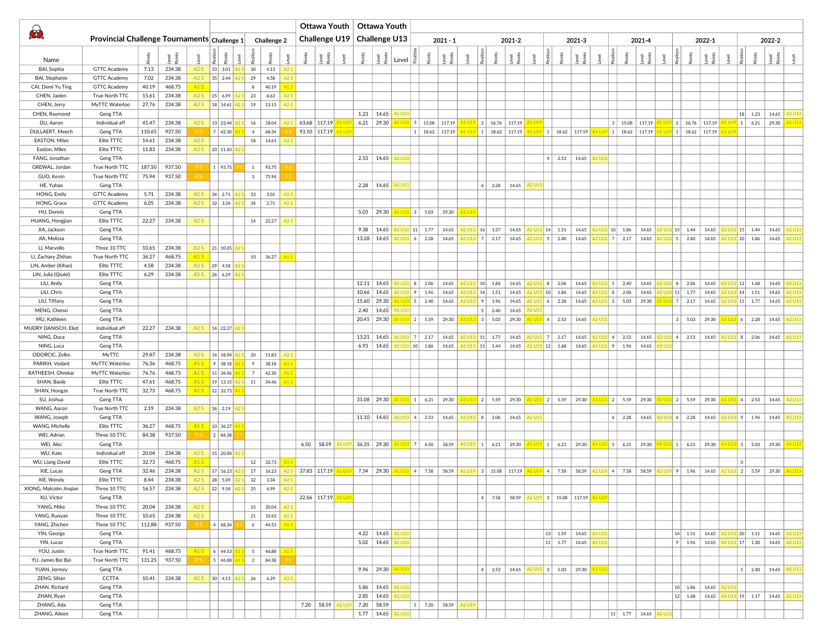| $\bigcirc$                           | Provincial Challenge Tournaments $ $ Challenge 1 |                |                  |                |                                       |                                                                                            |                   | <b>Challenge 2</b> |      |                     |                | Ottawa Youth   Ottawa Youth<br>Challenge U19   Challenge U13 |                       |                       | 2021-2<br>$2021 - 1$            |        |                                               |                     |                                                         |       |                  |                 | 2021-3                         |               |                     |               | 2021-4                                           |                                                                                                                | 2022-1                    |               |                |                            | 2022-2                                                                                                                                     |                  |
|--------------------------------------|--------------------------------------------------|----------------|------------------|----------------|---------------------------------------|--------------------------------------------------------------------------------------------|-------------------|--------------------|------|---------------------|----------------|--------------------------------------------------------------|-----------------------|-----------------------|---------------------------------|--------|-----------------------------------------------|---------------------|---------------------------------------------------------|-------|------------------|-----------------|--------------------------------|---------------|---------------------|---------------|--------------------------------------------------|----------------------------------------------------------------------------------------------------------------|---------------------------|---------------|----------------|----------------------------|--------------------------------------------------------------------------------------------------------------------------------------------|------------------|
|                                      |                                                  |                |                  |                |                                       |                                                                                            |                   |                    |      |                     |                |                                                              |                       |                       |                                 |        |                                               |                     |                                                         |       |                  |                 |                                |               |                     |               |                                                  |                                                                                                                |                           |               |                |                            |                                                                                                                                            |                  |
| Name                                 |                                                  |                | ্ত               |                |                                       |                                                                                            |                   |                    |      | Level<br>Points     | $e$ vel        | $\frac{1}{2}$ $\frac{1}{2}$                                  |                       |                       |                                 |        |                                               |                     |                                                         |       |                  |                 |                                |               |                     |               | Positio<br>Points<br>Points<br>Points<br>Bushell | $\frac{1}{2}$                                                                                                  | Points<br>Level<br>Points |               |                | Level<br>Positio<br>Points | level<br>Points<br>Level                                                                                                                   |                  |
| BAI, Sophia                          | <b>GTTC Academy</b>                              | 7.13           | 234.38           | A2S            | 33   3.01                             | 30                                                                                         |                   | 4.13<br>A2S        |      |                     |                |                                                              |                       |                       |                                 |        |                                               |                     |                                                         |       |                  |                 |                                |               |                     |               |                                                  |                                                                                                                |                           |               |                |                            |                                                                                                                                            |                  |
| BAI, Stephanie                       | <b>GTTC Academy</b>                              | 7.02           | 234.38           |                | A2 S 35 2.44                          | 29                                                                                         |                   | 4.58<br>A2S        |      |                     |                |                                                              |                       |                       |                                 |        |                                               |                     |                                                         |       |                  |                 |                                |               |                     |               |                                                  |                                                                                                                |                           |               |                |                            |                                                                                                                                            |                  |
| CAI, Demi Yu Ting                    | <b>GTTC Academy</b>                              | 40.19          | 468.75           | A1S            |                                       |                                                                                            | 8                 | 40.19<br>A1        |      |                     |                |                                                              |                       |                       |                                 |        |                                               |                     |                                                         |       |                  |                 |                                |               |                     |               |                                                  |                                                                                                                |                           |               |                |                            |                                                                                                                                            |                  |
| CHEN, Jaelen<br>CHEN, Jerry          | True North TTC<br>MyTTC Waterloo                 | 15.61<br>27.76 | 234.38<br>234.38 |                | A2 S 25 6.99<br>A2 S   18   14.61   A | 23                                                                                         |                   | 8.63<br>A2S<br>A2S |      |                     |                |                                                              |                       |                       |                                 |        |                                               |                     |                                                         |       |                  |                 |                                |               |                     |               |                                                  |                                                                                                                |                           |               |                |                            |                                                                                                                                            |                  |
| CHEN, Raymond                        | Geng TTA                                         |                |                  |                |                                       |                                                                                            | 19                | 13.15              |      |                     |                |                                                              | $1.23$   14.65        |                       |                                 |        |                                               |                     |                                                         |       |                  |                 |                                |               |                     |               |                                                  |                                                                                                                |                           |               | 18             | 1.23                       | 14.65                                                                                                                                      |                  |
| DU, Aaron                            | Individual aff                                   | 41.47          | 234.38           | A2S            | 13 23.44                              |                                                                                            | 16                | 18.04              |      | $63.68$   117.19    |                |                                                              | $6.21$   29.30        |                       | U <sub>13</sub> 3 15.08         | 117.19 |                                               |                     | $A1 \cup 19$ 2 16.76 117.19                             |       |                  |                 |                                |               |                     |               | 15.08 117.19                                     | 1 U19 2   16.76   117.19                                                                                       |                           |               |                | 6.21                       | 29.30                                                                                                                                      | 41 U1            |
| DULLAERT, Meech                      | Geng TTA                                         | 110.65         | 937.50           | P <sub>S</sub> | 7   42.30                             |                                                                                            | 4                 | 68.34              |      | 93.10   117.19      |                |                                                              |                       |                       | 1   18.62   117.19              |        |                                               |                     | A1 U19 1   18.62   117.19 <mark> </mark>                |       |                  |                 | $A1 \cup 19$ 1 18.62 117.19    |               |                     |               | $\frac{11 \cup 19}{1}$ 1   18.62   117.19        | $\begin{array}{ c c c c c c c c c } \hline 1 & 18.62 & 117.19 \hline \end{array}$                              |                           |               |                |                            |                                                                                                                                            |                  |
| EASTON, Miles                        | Elite TTTC                                       | 14.61          | 234.38           | A2S            |                                       |                                                                                            | 18                | 14.61              |      |                     |                |                                                              |                       |                       |                                 |        |                                               |                     |                                                         |       |                  |                 |                                |               |                     |               |                                                  |                                                                                                                |                           |               |                |                            |                                                                                                                                            |                  |
| Easton, Miles                        | Elite TTTC                                       | 11.83          | 234.38           |                | A2 S 20 11.83                         |                                                                                            |                   |                    |      |                     |                |                                                              |                       |                       |                                 |        |                                               |                     |                                                         |       |                  |                 |                                |               |                     |               |                                                  |                                                                                                                |                           |               |                |                            |                                                                                                                                            |                  |
| FANG, Jonathan                       | Geng TTA                                         |                |                  |                |                                       |                                                                                            |                   |                    |      |                     |                |                                                              | 2.53   14.65   A2 U13 |                       |                                 |        |                                               |                     |                                                         |       |                  | 2.53<br>$\vert$ | 14.65                          |               | <b>42 U13</b>       |               |                                                  |                                                                                                                |                           |               |                |                            |                                                                                                                                            |                  |
| GREWAL, Jordan                       | True North TTC                                   |                | 187.50 937.50    |                | 1   93.75                             |                                                                                            | $\vert$ 1 $\vert$ | 93.75              |      |                     |                |                                                              |                       |                       |                                 |        |                                               |                     |                                                         |       |                  |                 |                                |               |                     |               |                                                  |                                                                                                                |                           |               |                |                            |                                                                                                                                            |                  |
| GUO, Kevin                           | True North TTC                                   | 75.94          | 937.50           |                |                                       |                                                                                            | $3 \mid$          | 75.94              |      |                     |                |                                                              |                       |                       |                                 |        |                                               |                     |                                                         |       |                  |                 |                                |               |                     |               |                                                  |                                                                                                                |                           |               |                |                            |                                                                                                                                            |                  |
| HE, Yuhao                            | Geng TTA                                         |                |                  |                |                                       |                                                                                            |                   |                    |      |                     |                |                                                              | $2.28$   14.65        |                       |                                 |        |                                               |                     | 6   2.28                                                | 14.65 | 42 U1            |                 |                                |               |                     |               |                                                  |                                                                                                                |                           |               |                |                            |                                                                                                                                            |                  |
| HONG, Emily                          | <b>GTTC Academy</b>                              | 5.71           | 234.38           |                | $A2S$ 34 2.71                         | 33                                                                                         |                   | 3.01<br>A2:        |      |                     |                |                                                              |                       |                       |                                 |        |                                               |                     |                                                         |       |                  |                 |                                |               |                     |               |                                                  |                                                                                                                |                           |               |                |                            |                                                                                                                                            |                  |
| HONG, Grace<br>HU, Dennis            | <b>GTTC Academy</b><br>Geng TTA                  | 6.05           | 234.38           |                | A2 S 32 3.34                          |                                                                                            | 34                | 2.71<br>A2S        |      |                     |                |                                                              | $5.03$   29.30        |                       | $A1 \cup 13$ 3 5.03 29.30       |        | A1 U13                                        |                     |                                                         |       |                  |                 |                                |               |                     |               |                                                  |                                                                                                                |                           |               |                |                            |                                                                                                                                            |                  |
| HUANG, Hongjian                      | Elite TTTC                                       | 22.27          | 234.38           | A2S            |                                       |                                                                                            | 14 22.27          |                    |      |                     |                |                                                              |                       |                       |                                 |        |                                               |                     |                                                         |       |                  |                 |                                |               |                     |               |                                                  |                                                                                                                |                           |               |                |                            |                                                                                                                                            |                  |
| JIA, Jackson                         | Geng TTA                                         |                |                  |                |                                       |                                                                                            |                   |                    |      |                     |                | 9.38                                                         | 14.65                 |                       | 42 U13 11 1.77                  | 14.65  |                                               |                     | A2 U13 16 1.37 14.65                                    |       | A2 U13 14 1.51   |                 | 14.65                          |               | $2 \cup 13$ 10 1.86 |               | 14.65                                            | $3 15 $ 1.44                                                                                                   | 14.65                     |               | A2 U13 15 1.44 |                            | 14.65 A2 U1                                                                                                                                |                  |
| JIA, Melissa                         | Geng TTA                                         |                |                  |                |                                       |                                                                                            |                   |                    |      |                     |                | 13.28 14.65                                                  |                       |                       | $6 \mid 2.28$                   | 14.65  |                                               |                     | A2 U13 7 2.17 14.65                                     |       | A2 U13 5 2.40    |                 | 14.65                          |               | $2 \cup 13$ 7 2.17  |               | 14.65                                            | $5 \mid 2.40$                                                                                                  | 14.65                     |               | 42 U13 10 1.86 |                            | 14.65                                                                                                                                      | <b>42 U1</b>     |
| LI, Marvello                         | Three 10 TTC                                     | 10.65          | 234.38           |                | A2 S 21 10.65                         |                                                                                            |                   |                    |      |                     |                |                                                              |                       |                       |                                 |        |                                               |                     |                                                         |       |                  |                 |                                |               |                     |               |                                                  |                                                                                                                |                           |               |                |                            |                                                                                                                                            |                  |
| LI, Zachary Zhihao                   | True North TTC                                   | 36.27          | 468.75           | A1S            |                                       |                                                                                            | 10   36.27        |                    |      |                     |                |                                                              |                       |                       |                                 |        |                                               |                     |                                                         |       |                  |                 |                                |               |                     |               |                                                  |                                                                                                                |                           |               |                |                            |                                                                                                                                            |                  |
| LIN, Amber (Xihan)                   | Elite TTTC                                       | 4.58           | 234.38           |                | A2 S 29 4.58                          |                                                                                            |                   |                    |      |                     |                |                                                              |                       |                       |                                 |        |                                               |                     |                                                         |       |                  |                 |                                |               |                     |               |                                                  |                                                                                                                |                           |               |                |                            |                                                                                                                                            |                  |
| LIN, Julia (Qiulei)                  | Elite TTTC                                       | 6.29           | 234.38           |                | $A2S$ 26 6.29                         |                                                                                            |                   |                    |      |                     |                |                                                              |                       |                       |                                 |        |                                               |                     |                                                         |       |                  |                 |                                |               |                     |               |                                                  |                                                                                                                |                           |               |                |                            |                                                                                                                                            |                  |
| LIU, Andy                            | Geng TTA                                         |                |                  |                |                                       |                                                                                            |                   |                    |      |                     |                |                                                              | $12.11$ 14.65         |                       | 2.06                            | 14.65  |                                               |                     | $10$ 1.86                                               | 14.65 | $2 \cup 13$ 8    | 2.06            | 14.65                          |               | $1 \cup 13$ 5 2.40  |               | 14.65                                            | 8   8   2.06                                                                                                   | 14.65                     |               |                | 12 U13 12 1.68             | 14.65                                                                                                                                      |                  |
| LIU, Chris                           | Geng TTA                                         |                |                  |                |                                       |                                                                                            |                   |                    |      |                     |                | 10.66                                                        | 14.65                 | $U13$ 9               | 1.96                            | 14.65  |                                               |                     | $\vert 14 \vert 1.51$                                   | 14.65 | $2 \cup 13   10$ | 1.86            | 14.65                          |               | 8                   | 2.06          | 14.65                                            | $11$ 1.77                                                                                                      | 14.65                     |               | 3 14           | 1.51                       | 14.65                                                                                                                                      | (2 U)            |
| LIU, Tiffany                         | Geng TTA                                         |                |                  |                |                                       |                                                                                            |                   |                    |      |                     |                | 15.60 29.30                                                  |                       |                       | $13 \mid 5 \mid 2.40$           | 14.65  |                                               |                     | 9   1.96                                                | 14.65 | \2 U13           | 6<br>2.28       | 14.65                          |               |                     |               | $2 \cup 13$ 3 5.03 29.30                         | $1 \cup 13$ 7 2.17                                                                                             | 14.65                     |               |                | A2 U13 11 1.77             | 14.65                                                                                                                                      | A2 U1            |
| MENG, Chenxi                         | Geng TTA                                         |                |                  |                |                                       |                                                                                            |                   |                    |      |                     |                | 2.40                                                         | 14.65                 |                       |                                 |        |                                               | $A1 \cup 13$ 3 5.03 | $5 \mid 2.40$                                           | 14.65 |                  |                 |                                |               |                     |               |                                                  |                                                                                                                |                           |               |                |                            |                                                                                                                                            |                  |
| MU, Kathleen<br>MUDRY DANISCH, Eliot | Geng TTA<br>Individual aff                       | 22.27          | 234.38           |                | A2 S 14 22.27 A                       |                                                                                            |                   |                    |      |                     |                |                                                              | 20.45 29.30           |                       | $U13$ 2 5.59                    | 29.30  |                                               |                     |                                                         | 29.30 | <b>41 U13</b>    | 4 <br>2.53      | 14.65                          |               |                     |               |                                                  | 3   5.03                                                                                                       | 29.30                     |               | A1 U13 6       | 2.28                       | 14.65                                                                                                                                      | A2 U1            |
| NING, Duca                           | Geng TTA                                         |                |                  |                |                                       |                                                                                            |                   |                    |      |                     |                |                                                              | $13.21$   14.65       |                       | U13 7 2.17                      | 14.65  |                                               |                     | A2 U13 11 1.77                                          | 14.65 | A2 U13 7 2.17    |                 | 14.65                          |               | $2 \cup 13$ 4 2.53  |               | 14.65                                            | 2 U13 4 2.53 14.65 A2 U13 8                                                                                    |                           |               |                | 2.06                       | 14.65 A2 U1                                                                                                                                |                  |
| NING, Luca                           | Geng TTA                                         |                |                  |                |                                       |                                                                                            |                   |                    |      |                     |                | $6.93$   14.65                                               |                       |                       | 10 1.86                         | 14.65  |                                               |                     | $15$ 1.44                                               | 14.65 |                  | $U13$ 12 1.68   | 14.65                          |               |                     | 9 1.96        | 14.65                                            |                                                                                                                |                           |               |                |                            |                                                                                                                                            |                  |
| ODORCIC, Zelko                       | MyTTC                                            | 29.87          | 234.38           |                | A2 S 16 18.04                         | 20                                                                                         |                   | 11.83              |      |                     |                |                                                              |                       |                       |                                 |        |                                               |                     |                                                         |       |                  |                 |                                |               |                     |               |                                                  |                                                                                                                |                           |               |                |                            |                                                                                                                                            |                  |
| PARIKH, Vedant                       | MyTTC Waterloo                                   | 76.36          | 468.75           |                | $A15$ 9 38.18                         |                                                                                            | 9                 | 38.18              |      |                     |                |                                                              |                       |                       |                                 |        |                                               |                     |                                                         |       |                  |                 |                                |               |                     |               |                                                  |                                                                                                                |                           |               |                |                            |                                                                                                                                            |                  |
| RATHEESH, Ohmkar                     | MyTTC Waterloo                                   | 76.76          | 468.75           |                | A1 S   11   34.46                     | 7                                                                                          |                   | 42.30              |      |                     |                |                                                              |                       |                       |                                 |        |                                               |                     |                                                         |       |                  |                 |                                |               |                     |               |                                                  |                                                                                                                |                           |               |                |                            |                                                                                                                                            |                  |
| SHAN, Baole                          | Elite TTTC                                       | 47.61          | 468.75           |                | A1 S 19 13.15                         |                                                                                            | 11 34.46          |                    |      |                     |                |                                                              |                       |                       |                                 |        |                                               |                     |                                                         |       |                  |                 |                                |               |                     |               |                                                  |                                                                                                                |                           |               |                |                            |                                                                                                                                            |                  |
| SHAN, Hongze                         | True North TTC                                   | 32.73          | 468.75           |                | $A1 S$ 12 32.73 /                     |                                                                                            |                   |                    |      |                     |                |                                                              |                       |                       |                                 |        |                                               |                     |                                                         |       |                  |                 |                                |               |                     |               |                                                  |                                                                                                                |                           |               |                |                            |                                                                                                                                            |                  |
| SU, Joshua                           | Geng TTA                                         |                |                  |                |                                       |                                                                                            |                   |                    |      |                     |                |                                                              | $31.08$   29.30       |                       | $\frac{1013}{1}$ 1 6.21 29.30   |        |                                               |                     | $A1 \cup 13$ 2 5.59 29.30                               |       |                  |                 | $A1 \cup 13$ 2 5.59 29.30      |               |                     |               |                                                  | <mark>A1 U13</mark> 2   5.59   29.30 <mark>  A1 U13</mark> 2   5.59   29.30 <mark>  A1 U13</mark> 4   2.53     |                           |               |                |                            | 14.65 A2 U1                                                                                                                                |                  |
| WANG, Aaron                          | True North TTC                                   | 2.19           | 234.38           |                | $A2S$ 36 2.19                         |                                                                                            |                   |                    |      |                     |                |                                                              |                       |                       |                                 |        |                                               |                     |                                                         |       |                  |                 |                                |               |                     |               |                                                  |                                                                                                                |                           |               |                |                            |                                                                                                                                            |                  |
| WANG, Joseph                         | Geng TTA                                         |                |                  |                |                                       |                                                                                            |                   |                    |      |                     |                |                                                              | $11.10$ 14.65         |                       | A2 U13 4 2.53 14.65             |        |                                               |                     | A2 U13 8 2.06                                           | 14.65 | 42 U1:           |                 |                                |               |                     | 2.28          | 14.65                                            | 1.96 220 3 4 4 4 4 5 4 5 4 6 7 4 6 4 6 7 4 6 7 4 7 4 6 7 4 7 8 7 8 7 7 8 7 7 8 7 8 7 8 7 7 8 7 7 8 7 9 7 4 7 8 |                           |               |                |                            | 14.65                                                                                                                                      | A <sub>2</sub> U |
| WANG, Michelle<br>WEI, Adrian        | Elite TTTC<br>Three 10 TTC                       | 36.27<br>84.38 | 468.75<br>937.50 | <b>PS</b>      | A1 S 10 36.27<br>2   84.38            |                                                                                            |                   |                    |      |                     |                |                                                              |                       |                       |                                 |        |                                               |                     |                                                         |       |                  |                 |                                |               |                     |               |                                                  |                                                                                                                |                           |               |                |                            |                                                                                                                                            |                  |
| WEI, Alec                            | Geng TTA                                         |                |                  |                |                                       |                                                                                            |                   |                    | 6.50 | 58.59               | 42 U1          |                                                              |                       |                       |                                 |        |                                               |                     |                                                         |       |                  |                 |                                |               |                     |               |                                                  |                                                                                                                |                           |               |                |                            | 36.35 29.30 41 U13 7 6.50 58.59 42 U19 1 6.21 29.30 41 U13 1 6.21 29.30 41 U13 1 6.21 29.30 41 U13 1 6.21 29.30 41 U13 3 5.03 29.30 41 U13 |                  |
| WU, Kate                             | Individual aff                                   | 20.04          | 234.38           |                | A2 S 15 20.04                         |                                                                                            |                   |                    |      |                     |                |                                                              |                       |                       |                                 |        |                                               |                     |                                                         |       |                  |                 |                                |               |                     |               |                                                  |                                                                                                                |                           |               |                |                            |                                                                                                                                            |                  |
| WU, Liang David                      | Elite TTTC                                       | 32.73          | 468.75           | A1S            |                                       |                                                                                            | 12 32.73          |                    |      |                     |                |                                                              |                       |                       |                                 |        |                                               |                     |                                                         |       |                  |                 |                                |               |                     |               |                                                  |                                                                                                                |                           |               |                |                            |                                                                                                                                            |                  |
| XIE, Lucas                           | Geng TTA                                         | 32.46          | 234.38           |                | A2 S 17 16.23                         |                                                                                            | 17                | 16.23              |      | 37.83 117.19        | 41 U1          |                                                              | 7.54 29.30            |                       | $\sqrt{1 \cup 13}$ 4 7.58 58.59 |        |                                               |                     | A2 U19 3 15.08 117.19 A1 U19 4 7.58                     |       |                  |                 | 58.59                          |               |                     | 42 U19 4 7.58 | 58.59                                            | A2 U19 9 1.96 14.65                                                                                            |                           |               | A2 U13 2       | 5.59                       | 29.30                                                                                                                                      |                  |
| XIE, Wendy                           | Elite TTTC                                       | 8.44           | 234.38           | A2S            | $ 28 $ 5.09                           | 32                                                                                         |                   | 3.34<br>A2S        |      |                     |                |                                                              |                       |                       |                                 |        |                                               |                     |                                                         |       |                  |                 |                                |               |                     |               |                                                  |                                                                                                                |                           |               |                |                            |                                                                                                                                            |                  |
| XIONG, Malcolm Jingian               | Three 10 TTC                                     |                | 16.57 234.38     | A2S            |                                       | $ 22 $ 9.58 $ A2S $ 25                                                                     |                   | 6.99<br>A2S        |      |                     |                |                                                              |                       |                       |                                 |        |                                               |                     |                                                         |       |                  |                 |                                |               |                     |               |                                                  |                                                                                                                |                           |               |                |                            |                                                                                                                                            |                  |
| XU, Victor                           | Geng TTA                                         |                |                  |                |                                       |                                                                                            |                   |                    |      | 22.66 117.19 A1 U19 |                |                                                              |                       |                       |                                 |        |                                               |                     | $ 4 $ 7.58 $ 58.59 $ A2 U19 3   15.08   117.19   A1 U19 |       |                  |                 |                                |               |                     |               |                                                  |                                                                                                                |                           |               |                |                            |                                                                                                                                            |                  |
| YANG, Mike                           | Three 10 TTC                                     |                | 20.04 234.38     | A2S            |                                       |                                                                                            | 15 20.04          | A2S                |      |                     |                |                                                              |                       |                       |                                 |        |                                               |                     |                                                         |       |                  |                 |                                |               |                     |               |                                                  |                                                                                                                |                           |               |                |                            |                                                                                                                                            |                  |
| YANG, Ruoyan                         | Three 10 TTC                                     | 10.65          | 234.38           | A2S            |                                       |                                                                                            | 21 10.65          | A2S                |      |                     |                |                                                              |                       |                       |                                 |        |                                               |                     |                                                         |       |                  |                 |                                |               |                     |               |                                                  |                                                                                                                |                           |               |                |                            |                                                                                                                                            |                  |
| YANG, Zhichen                        | Three 10 TTC                                     |                | 112.88 937.50    |                | PS 4 68.34                            |                                                                                            | 6 44.53           | A15                |      |                     |                |                                                              |                       |                       |                                 |        |                                               |                     |                                                         |       |                  |                 |                                |               |                     |               |                                                  |                                                                                                                |                           |               |                |                            |                                                                                                                                            |                  |
| YIN, George                          | Geng TTA                                         |                |                  |                |                                       |                                                                                            |                   |                    |      |                     |                |                                                              | 4.22 14.65 A2 U13     |                       |                                 |        |                                               |                     |                                                         |       |                  |                 | 13 1.59 14.65                  | <b>42 U1</b>  |                     |               |                                                  |                                                                                                                |                           |               |                |                            | 14 1.51 14.65 A2 U13 20 1.11 14.65 A2 U1                                                                                                   |                  |
| YIN, Lucas                           | Geng TTA                                         |                |                  |                | $A1S$ 6 44.53 $A1S$ 5 46.88           |                                                                                            |                   |                    |      |                     |                |                                                              |                       | 5.02   14.65   A2 U13 |                                 |        |                                               |                     |                                                         |       |                  |                 | $11 \mid 1.77 \mid 14.65 \mid$ | <b>42 U13</b> |                     |               |                                                  |                                                                                                                |                           |               |                |                            | 9 1.96 14.65 A2 U13 17 1.30 14.65 A2 U13                                                                                                   |                  |
| YOU, Justin                          | True North TTC                                   | 91.41          | 468.75           | P S            |                                       |                                                                                            |                   | A15                |      |                     |                |                                                              |                       |                       |                                 |        |                                               |                     |                                                         |       |                  |                 |                                |               |                     |               |                                                  |                                                                                                                |                           |               |                |                            |                                                                                                                                            |                  |
| YU, James Bei Bei<br>YUAN, Jermey    | True North TTC<br>Geng TTA                       |                | 131.25 937.50    |                |                                       | $\begin{array}{ c c c c c c c c } \hline 5 & 46.88 & A15 & 2 & 84.38 \ \hline \end{array}$ |                   |                    |      |                     |                |                                                              | $9.96$   29.30        |                       |                                 |        |                                               |                     |                                                         |       |                  |                 |                                |               |                     |               |                                                  |                                                                                                                |                           |               |                |                            | $5 \mid 2.40 \mid 14.65 \mid A2 \cup 1$                                                                                                    |                  |
| ZENG, Sihan                          | CCTTA                                            | 10.41          | 234.38           |                | A2 S 30 4.13 A2 S                     |                                                                                            | 26 6.29           | A2S                |      |                     |                |                                                              |                       |                       |                                 |        |                                               |                     |                                                         |       |                  |                 |                                |               |                     |               |                                                  |                                                                                                                |                           |               |                |                            |                                                                                                                                            |                  |
| ZHAN, Richard                        | Geng TTA                                         |                |                  |                |                                       |                                                                                            |                   |                    |      |                     |                |                                                              | $1.86$   14.65        | A2 U13                |                                 |        |                                               |                     |                                                         |       |                  |                 |                                |               |                     |               |                                                  | $10$ 1.86 14.65                                                                                                |                           | <b>A2 U13</b> |                |                            |                                                                                                                                            |                  |
| ZHAN, Ryan                           | Geng TTA                                         |                |                  |                |                                       |                                                                                            |                   |                    |      |                     |                |                                                              | $2.85$   14.65        |                       |                                 |        |                                               |                     |                                                         |       |                  |                 |                                |               |                     |               |                                                  |                                                                                                                |                           |               |                |                            | 12 1.68 14.65 A2 U13 19 1.17 14.65 A2 U13                                                                                                  |                  |
| ZHANG, Ada                           | Geng TTA                                         |                |                  |                |                                       |                                                                                            |                   |                    |      | 7.20 58.59          | <b>\2 U1</b> 9 | 7.20 58.59                                                   |                       |                       |                                 |        | $5 \mid 7.20 \mid 58.59 \mid A2 \cup 19 \mid$ |                     |                                                         |       |                  |                 |                                |               |                     |               |                                                  |                                                                                                                |                           |               |                |                            |                                                                                                                                            |                  |
| ZHANG, Aileen                        | Geng TTA                                         |                |                  |                |                                       |                                                                                            |                   |                    |      |                     |                |                                                              | $1.77$   14.65        |                       |                                 |        |                                               |                     |                                                         |       |                  |                 |                                |               |                     |               | $11$ 1.77 14.65 A2 U1                            |                                                                                                                |                           |               |                |                            |                                                                                                                                            |                  |